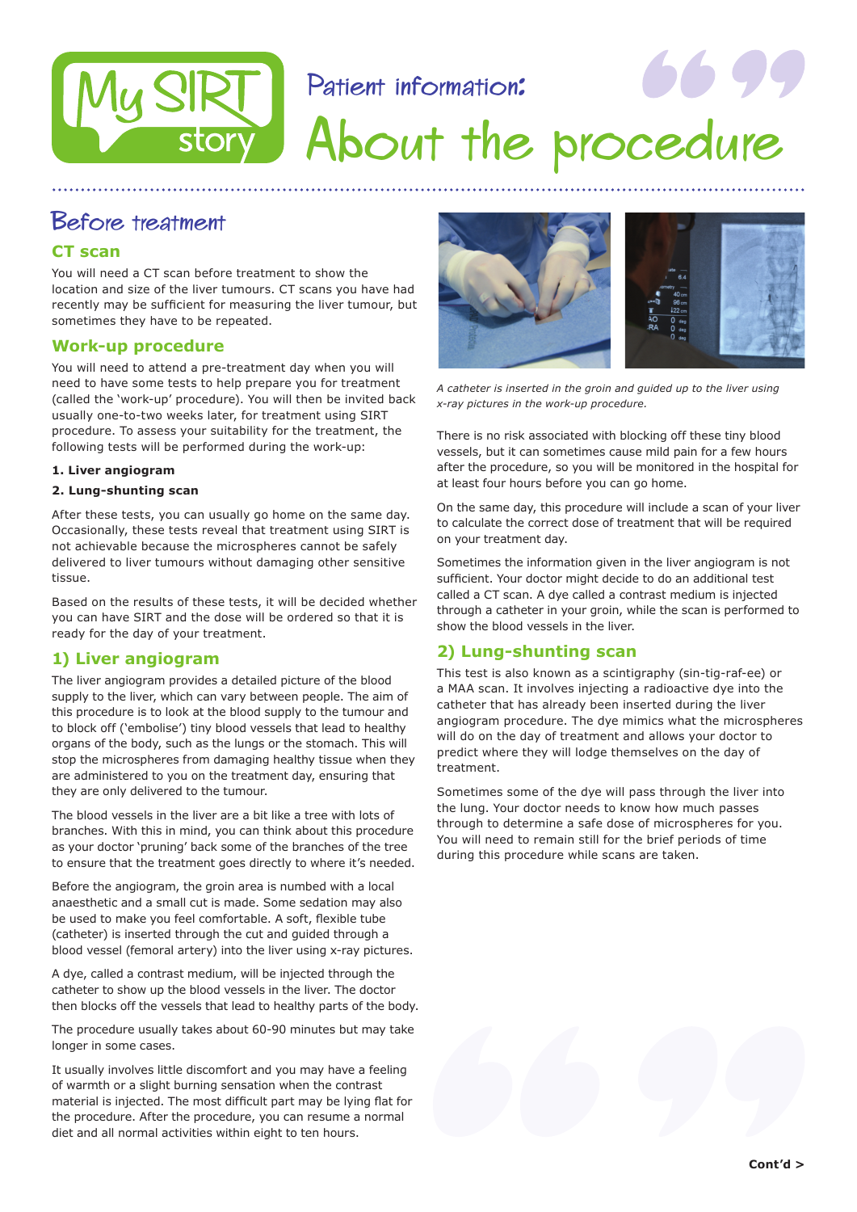# Patient information:



# About the procedure

### Before treatment

#### **CT scan**

You will need a CT scan before treatment to show the location and size of the liver tumours. CT scans you have had recently may be sufficient for measuring the liver tumour, but sometimes they have to be repeated.

#### **Work-up procedure**

You will need to attend a pre-treatment day when you will need to have some tests to help prepare you for treatment (called the 'work-up' procedure). You will then be invited back usually one-to-two weeks later, for treatment using SIRT procedure. To assess your suitability for the treatment, the following tests will be performed during the work-up:

#### **1. Liver angiogram**

#### **2. Lung-shunting scan**

After these tests, you can usually go home on the same day. Occasionally, these tests reveal that treatment using SIRT is not achievable because the microspheres cannot be safely delivered to liver tumours without damaging other sensitive tissue.

Based on the results of these tests, it will be decided whether you can have SIRT and the dose will be ordered so that it is ready for the day of your treatment.

#### **1) Liver angiogram**

The liver angiogram provides a detailed picture of the blood supply to the liver, which can vary between people. The aim of this procedure is to look at the blood supply to the tumour and to block off ('embolise') tiny blood vessels that lead to healthy organs of the body, such as the lungs or the stomach. This will stop the microspheres from damaging healthy tissue when they are administered to you on the treatment day, ensuring that they are only delivered to the tumour.

The blood vessels in the liver are a bit like a tree with lots of branches. With this in mind, you can think about this procedure as your doctor 'pruning' back some of the branches of the tree to ensure that the treatment goes directly to where it's needed.

Before the angiogram, the groin area is numbed with a local anaesthetic and a small cut is made. Some sedation may also be used to make you feel comfortable. A soft, flexible tube (catheter) is inserted through the cut and guided through a blood vessel (femoral artery) into the liver using x-ray pictures.

A dye, called a contrast medium, will be injected through the catheter to show up the blood vessels in the liver. The doctor then blocks off the vessels that lead to healthy parts of the body.

The procedure usually takes about 60-90 minutes but may take longer in some cases.

It usually involves little discomfort and you may have a feeling of warmth or a slight burning sensation when the contrast material is injected. The most difficult part may be lying flat for the procedure. After the procedure, you can resume a normal diet and all normal activities within eight to ten hours.



*A catheter is inserted in the groin and guided up to the liver using x-ray pictures in the work-up procedure.*

There is no risk associated with blocking off these tiny blood vessels, but it can sometimes cause mild pain for a few hours after the procedure, so you will be monitored in the hospital for at least four hours before you can go home.

On the same day, this procedure will include a scan of your liver to calculate the correct dose of treatment that will be required on your treatment day.

Sometimes the information given in the liver angiogram is not sufficient. Your doctor might decide to do an additional test called a CT scan. A dye called a contrast medium is injected through a catheter in your groin, while the scan is performed to show the blood vessels in the liver.

#### **2) Lung-shunting scan**

This test is also known as a scintigraphy (sin-tig-raf-ee) or a MAA scan. It involves injecting a radioactive dye into the catheter that has already been inserted during the liver angiogram procedure. The dye mimics what the microspheres will do on the day of treatment and allows your doctor to predict where they will lodge themselves on the day of treatment.

Sometimes some of the dye will pass through the liver into the lung. Your doctor needs to know how much passes through to determine a safe dose of microspheres for you. You will need to remain still for the brief periods of time during this procedure while scans are taken.